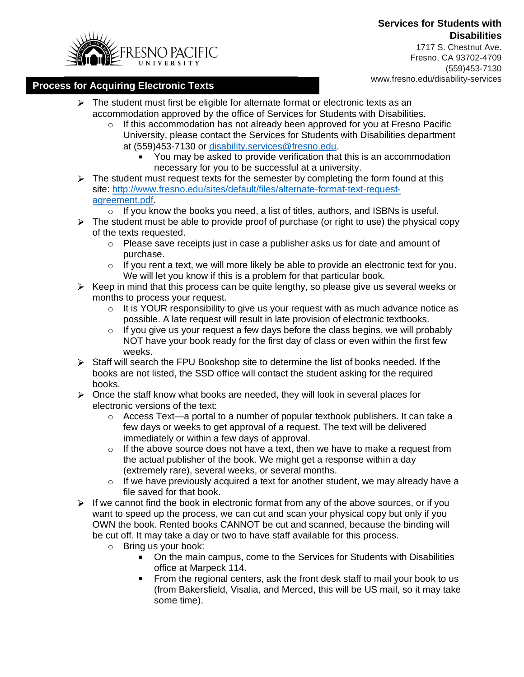### **Services for Students with Disabilities**



1717 S. Chestnut Ave. Fresno, CA 93702-4709 (559)453-7130

# www.fresno.edu/disability-services **Process for Acquiring Electronic Texts**

- $\triangleright$  The student must first be eligible for alternate format or electronic texts as an accommodation approved by the office of Services for Students with Disabilities.
	- $\circ$  If this accommodation has not already been approved for you at Fresno Pacific University, please contact the Services for Students with Disabilities department at (559)453-7130 or [disability.services@fresno.edu.](mailto:disability.services@fresno.edu)
		- You may be asked to provide verification that this is an accommodation necessary for you to be successful at a university.
- $\triangleright$  The student must request texts for the semester by completing the form found at this site: [http://www.fresno.edu/sites/default/files/alternate-format-text-request](http://www.fresno.edu/sites/default/files/alternate-format-text-request-agreement.pdf)[agreement.pdf.](http://www.fresno.edu/sites/default/files/alternate-format-text-request-agreement.pdf)
	- $\circ$  If you know the books you need, a list of titles, authors, and ISBNs is useful.
- $\triangleright$  The student must be able to provide proof of purchase (or right to use) the physical copy of the texts requested.
	- $\circ$  Please save receipts just in case a publisher asks us for date and amount of purchase.
	- $\circ$  If you rent a text, we will more likely be able to provide an electronic text for you. We will let you know if this is a problem for that particular book.
- $\triangleright$  Keep in mind that this process can be quite lengthy, so please give us several weeks or months to process your request.
	- $\circ$  It is YOUR responsibility to give us your request with as much advance notice as possible. A late request will result in late provision of electronic textbooks.
	- $\circ$  If you give us your request a few days before the class begins, we will probably NOT have your book ready for the first day of class or even within the first few weeks.
- $\triangleright$  Staff will search the FPU Bookshop site to determine the list of books needed. If the books are not listed, the SSD office will contact the student asking for the required books.
- $\triangleright$  Once the staff know what books are needed, they will look in several places for electronic versions of the text:
	- $\circ$  Access Text—a portal to a number of popular textbook publishers. It can take a few days or weeks to get approval of a request. The text will be delivered immediately or within a few days of approval.
	- $\circ$  If the above source does not have a text, then we have to make a request from the actual publisher of the book. We might get a response within a day (extremely rare), several weeks, or several months.
	- $\circ$  If we have previously acquired a text for another student, we may already have a file saved for that book.
- $\triangleright$  If we cannot find the book in electronic format from any of the above sources, or if you want to speed up the process, we can cut and scan your physical copy but only if you OWN the book. Rented books CANNOT be cut and scanned, because the binding will be cut off. It may take a day or two to have staff available for this process.
	- o Bring us your book:
		- On the main campus, come to the Services for Students with Disabilities  $\blacksquare$ office at Marpeck 114.
		- From the regional centers, ask the front desk staff to mail your book to us (from Bakersfield, Visalia, and Merced, this will be US mail, so it may take some time).